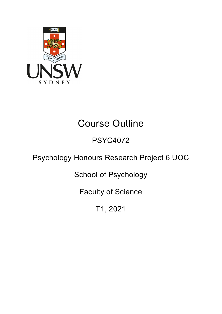

# Course Outline

## PSYC4072

## Psychology Honours Research Project 6 UOC

School of Psychology

Faculty of Science

T1, 2021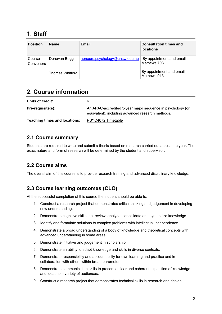### **1. Staff**

| <b>Position</b>     | <b>Name</b>     | Email                          | <b>Consultation times and</b><br><b>locations</b> |
|---------------------|-----------------|--------------------------------|---------------------------------------------------|
| Course<br>Convenors | Denovan Begg    | honours.psychology@unsw.edu.au | By appointment and email<br>Mathews 708           |
|                     | Thomas Whitford |                                | By appointment and email<br>Mathews 913           |

### **2. Course information**

| Units of credit:                     | 6                                                                                                               |
|--------------------------------------|-----------------------------------------------------------------------------------------------------------------|
| Pre-requisite(s):                    | An APAC-accredited 3-year major sequence in psychology (or<br>equivalent), including advanced research methods. |
| <b>Teaching times and locations:</b> | PSYC4072 Timetable                                                                                              |

#### **2.1 Course summary**

Students are required to write and submit a thesis based on research carried out across the year. The exact nature and form of research will be determined by the student and supervisor.

#### **2.2 Course aims**

The overall aim of this course is to provide research training and advanced disciplinary knowledge.

#### **2.3 Course learning outcomes (CLO)**

At the successful completion of this course the student should be able to:

- 1. Construct a research project that demonstrates critical thinking and judgement in developing new understanding.
- 2. Demonstrate cognitive skills that review, analyse, consolidate and synthesize knowledge.
- 3. Identify and formulate solutions to complex problems with intellectual independence.
- 4. Demonstrate a broad understanding of a body of knowledge and theoretical concepts with advanced understanding in some areas.
- 5. Demonstrate initiative and judgement in scholarship.
- 6. Demonstrate an ability to adapt knowledge and skills in diverse contexts.
- 7. Demonstrate responsibility and accountability for own learning and practice and in collaboration with others within broad parameters.
- 8. Demonstrate communication skills to present a clear and coherent exposition of knowledge and ideas to a variety of audiences.
- 9. Construct a research project that demonstrates technical skills in research and design.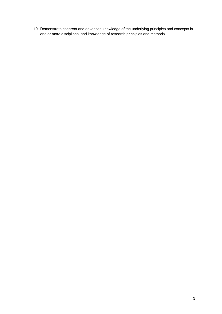10. Demonstrate coherent and advanced knowledge of the underlying principles and concepts in one or more disciplines, and knowledge of research principles and methods.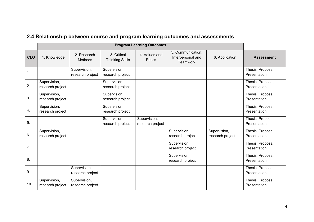|            | <b>Program Learning Outcomes</b> |                                  |                                       |                                  |                                                    |                                  |                                   |
|------------|----------------------------------|----------------------------------|---------------------------------------|----------------------------------|----------------------------------------------------|----------------------------------|-----------------------------------|
| <b>CLO</b> | 1. Knowledge                     | 2. Research<br><b>Methods</b>    | 3. Critical<br><b>Thinking Skills</b> | 4. Values and<br><b>Ethics</b>   | 5. Communication,<br>Interpersonal and<br>Teamwork | 6. Application                   | <b>Assessment</b>                 |
| 1.         |                                  | Supervision,<br>research project | Supervision,<br>research project      |                                  |                                                    |                                  | Thesis, Proposal,<br>Presentation |
| 2.         | Supervision,<br>research project |                                  | Supervision,<br>research project      |                                  |                                                    |                                  | Thesis, Proposal,<br>Presentation |
| 3.         | Supervision,<br>research project |                                  | Supervision,<br>research project      |                                  |                                                    |                                  | Thesis, Proposal,<br>Presentation |
| 4.         | Supervision,<br>research project |                                  | Supervision,<br>research project      |                                  |                                                    |                                  | Thesis, Proposal,<br>Presentation |
| 5.         |                                  |                                  | Supervision,<br>research project      | Supervision,<br>research project |                                                    |                                  | Thesis, Proposal,<br>Presentation |
| 6.         | Supervision,<br>research project |                                  |                                       |                                  | Supervision,<br>research project                   | Supervision,<br>research project | Thesis, Proposal,<br>Presentation |
| 7.         |                                  |                                  |                                       |                                  | Supervision,<br>research project                   |                                  | Thesis, Proposal,<br>Presentation |
| 8.         |                                  |                                  |                                       |                                  | Supervision,<br>research project                   |                                  | Thesis, Proposal,<br>Presentation |
| 9.         |                                  | Supervision,<br>research project |                                       |                                  |                                                    |                                  | Thesis, Proposal,<br>Presentation |
| 10.        | Supervision,<br>research project | Supervision,<br>research project |                                       |                                  |                                                    |                                  | Thesis, Proposal,<br>Presentation |

### **2.4 Relationship between course and program learning outcomes and assessments**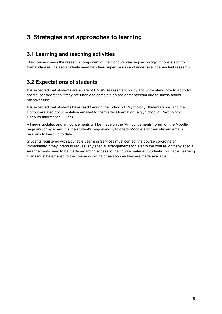### **3. Strategies and approaches to learning**

#### **3.1 Learning and teaching activities**

This course covers the research component of the Honours year in psychology. It consists of no formal classes: instead students meet with their supervisor(s) and undertake independent research.

#### **3.2 Expectations of students**

It is expected that students are aware of UNSW Assessment policy and understand how to apply for special consideration if they are unable to complete an assignment/exam due to illness and/or misadventure.

It is expected that students have read through the School of Psychology Student Guide, and the Honours-related documentation emailed to them after Orientation (e.g., School of Psychology Honours Information Guide).

All news updates and announcements will be made on the 'Announcements' forum on the Moodle page and/or by email. It is the student's responsibility to check Moodle and their student emails regularly to keep up to date.

Students registered with Equitable Learning Services must contact the course co-ordinator immediately if they intend to request any special arrangements for later in the course, or if any special arrangements need to be made regarding access to the course material. Students' Equitable Learning Plans must be emailed to the course coordinator as soon as they are made available.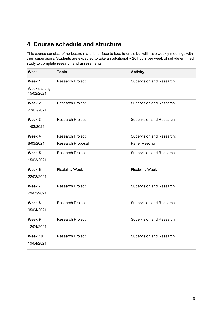### **4. Course schedule and structure**

This course consists of no lecture material or face to face tutorials but will have weekly meetings with their supervisors. Students are expected to take an additional ~ 20 hours per week of self-determined study to complete research and assessments.

| <b>Week</b>                           | <b>Topic</b>            | <b>Activity</b>           |
|---------------------------------------|-------------------------|---------------------------|
| Week 1<br>Week starting<br>15/02/2021 | Research Project        | Supervision and Research  |
| Week 2<br>22/02/2021                  | Research Project        | Supervision and Research  |
| Week 3<br>1/03/2021                   | Research Project        | Supervision and Research  |
| Week 4                                | Research Project;       | Supervision and Research; |
| 8/03/2021                             | Research Proposal       | <b>Panel Meeting</b>      |
| Week 5<br>15/03/2021                  | Research Project        | Supervision and Research  |
| Week 6<br>22/03/2021                  | <b>Flexibility Week</b> | <b>Flexibility Week</b>   |
| Week 7<br>29/03/2021                  | Research Project        | Supervision and Research  |
| Week 8<br>05/04/2021                  | Research Project        | Supervision and Research  |
| Week 9<br>12/04/2021                  | Research Project        | Supervision and Research  |
| Week 10<br>19/04/2021                 | Research Project        | Supervision and Research  |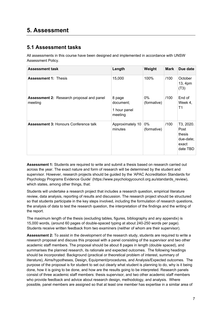### **5. Assessment**

#### **5.1 Assessment tasks**

All assessments in this course have been designed and implemented in accordance with UNSW Assessment Policy.

| <b>Assessment task</b>                                      | Length                                         | Weight               | <b>Mark</b> | Due date                                                      |
|-------------------------------------------------------------|------------------------------------------------|----------------------|-------------|---------------------------------------------------------------|
| <b>Assessment 1: Thesis</b>                                 | 15,000                                         | 100%                 | /100        | October<br>13, 4pm<br>(T3)                                    |
| <b>Assessment 2: Research proposal and panel</b><br>meeting | 8 page<br>document;<br>1 hour panel<br>meeting | $0\%$<br>(formative) | /100        | End of<br>Week 4,<br>T1                                       |
| <b>Assessment 3: Honours Conference talk</b>                | Approximately 10<br>minutes                    | 0%<br>(formative)    | /100        | T3, 2020.<br>Post<br>thesis<br>due-date;<br>exact<br>date TBD |

**Assessment 1:** Students are required to write and submit a thesis based on research carried out across the year. The exact nature and form of research will be determined by the student and supervisor. However, research projects should be guided by the 'APAC Accreditation Standards for Psychology Programs Evidence Guide' (https://www.psychologycouncil.org.au/standards\_review), which states, among other things, that:

Students will undertake a research project that includes a research question, empirical literature review, data analysis, reporting of results and discussion. The research project should be structured so that students participate in the key steps involved, including the formulation of research questions, the analysis of data to test the research question, the interpretation of the findings and the writing of the report.

The maximum length of the thesis (excluding tables, figures, bibliography and any appendix) is 15,000 words, (around 60 pages of double-spaced typing at about 240-250 words per page). Students receive written feedback from two examiners (neither of whom are their supervisor).

**Assessment 2:** To assist in the development of the research study, students are required to write a research proposal and discuss this proposal with a panel consisting of the supervisor and two other academic staff members. The proposal should be about 8 pages in length (double spaced), and summarises the planned research, its rationale and expected outcomes. The following headings should be incorporated: Background (practical or theoretical problem of interest, summary of literature), Aims/hypotheses, Design, Equipment/procedures, and Analysis/Expected outcomes. The purpose of the proposal is for student to set out clearly what student is planning to do, why is it being done, how it is going to be done, and how are the results going to be interpreted. Research panels consist of three academic staff members: thesis supervisor, and two other academic staff members who provide feedback and advice about research design, methodology, and analysis. Where possible, panel members are assigned so that at least one member has expertise in a similar area of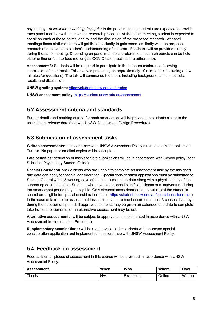psychology. *At least three working days prior* to the panel meeting, students are expected to provide each panel member with their written research proposal. At the panel meeting, student is expected to speak on each of these points, and to lead the discussion of the proposed research. At panel meetings these staff members will get the opportunity to gain some familiarity with the proposed research and to evaluate student's understanding of the area. Feedback will be provided directly during the panel meeting. Depending on panel members' preferences, research panels can be held either online or face-to-face (so long as COVID-safe practices are adhered to).

**Assessment 3:** Students will be required to participate in the honours conference following submission of their thesis. This involves presenting an approximately 10 minute talk (including a few minutes for questions). The talk will summarise the thesis including background, aims, methods, results and discussion.

**UNSW grading system:** <https://student.unsw.edu.au/grades>

**UNSW assessment policy:** <https://student.unsw.edu.au/assessment>

#### **5.2 Assessment criteria and standards**

Further details and marking criteria for each assessment will be provided to students closer to the assessment release date (see 4.1: UNSW Assessment Design Procedure).

#### **5.3 Submission of assessment tasks**

**Written assessments:** In accordance with UNSW Assessment Policy must be submitted online via Turnitin. No paper or emailed copies will be accepted.

**Late penalties**: deduction of marks for late submissions will be in accordance with School policy (see: [School of Psychology Student Guide\)](http://www.psy.unsw.edu.au/current-students/student-guide).

**Special Consideration:** Students who are unable to complete an assessment task by the assigned due date can apply for special consideration. Special consideration applications must be submitted to Student Central within 3 working days of the assessment due date along with a physical copy of the supporting documentation. Students who have experienced significant illness or misadventure during the assessment period may be eligible. Only circumstances deemed to be outside of the student's control are eligible for special consideration (see - [https://student.unsw.edu.au/special-consideration\)](https://student.unsw.edu.au/special-consideration). In the case of take-home assessment tasks, misadventure must occur for at least 3 consecutive days during the assessment period. If approved, students may be given an extended due date to complete take-home assessments, or an alternative assessment may be set.

**Alternative assessments**: will be subject to approval and implemented in accordance with UNSW Assessment Implementation Procedure.

**Supplementary examinations:** will be made available for students with approved special consideration application and implemented in accordance with UNSW Assessment Policy.

#### **5.4. Feedback on assessment**

Feedback on all pieces of assessment in this course will be provided in accordance with UNSW Assessment Policy.

| <b>Assessment</b> | When | Who       | <b>Where</b> | How     |
|-------------------|------|-----------|--------------|---------|
| Thesis            | N/A  | Examiners | Online       | Written |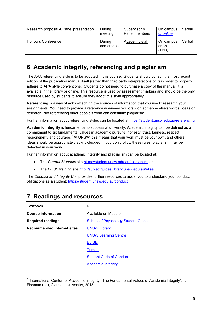| Research proposal & Panel presentation | During<br>meeting    | Supervisor &<br>Panel members | On campus<br>or online         | Verbal |
|----------------------------------------|----------------------|-------------------------------|--------------------------------|--------|
| <b>Honours Conference</b>              | During<br>conference | Academic staff                | On campus<br>or online<br>(TBD | Verbal |

### **6. Academic integrity, referencing and plagiarism**

The APA referencing style is to be adopted in this course. Students should consult the most recent edition of the publication manual itself (rather than third party interpretations of it) in order to properly adhere to APA style conventions. Students do not need to purchase a copy of the manual, it is available in the library or online. This resource is used by assessment markers and should be the only resource used by students to ensure they adopt this style appropriately.

**Referencing** is a way of acknowledging the sources of information that you use to research your assignments. You need to provide a reference whenever you draw on someone else's words, ideas or research. Not referencing other people's work can constitute plagiarism.

Further information about referencing styles can be located at <https://student.unsw.edu.au/referencing>

**Academic integrity** is fundamental to success at university. Academic integrity can be defined as a commitment to six fundamental values in academic pursuits**:** honesty, trust, fairness, respect, responsibility and courage.*[1](#page-8-0)* At UNSW, this means that your work must be your own, and others' ideas should be appropriately acknowledged. If you don't follow these rules, plagiarism may be detected in your work.

Further information about academic integrity and **plagiarism** can be located at:

- The *Current Students* site <https://student.unsw.edu.au/plagiarism>*,* and
- The *ELISE* training site <http://subjectguides.library.unsw.edu.au/elise>

The *Conduct and Integrity Unit* provides further resources to assist you to understand your conduct obligations as a student: [https://student.unsw.edu.au/conduct.](https://student.unsw.edu.au/conduct)

| <b>Textbook</b>                   | Nil                                       |
|-----------------------------------|-------------------------------------------|
| <b>Course information</b>         | Available on Moodle                       |
| <b>Required readings</b>          | <b>School of Psychology Student Guide</b> |
| <b>Recommended internet sites</b> | <b>UNSW Library</b>                       |
|                                   | <b>UNSW Learning Centre</b>               |
|                                   | <b>ELISE</b>                              |
|                                   | <b>Turnitin</b>                           |
|                                   | <b>Student Code of Conduct</b>            |
|                                   | <b>Academic Integrity</b>                 |

### **7. Readings and resources**

-

<span id="page-8-0"></span><sup>1</sup> International Center for Academic Integrity, 'The Fundamental Values of Academic Integrity', T. Fishman (ed), Clemson University, 2013.